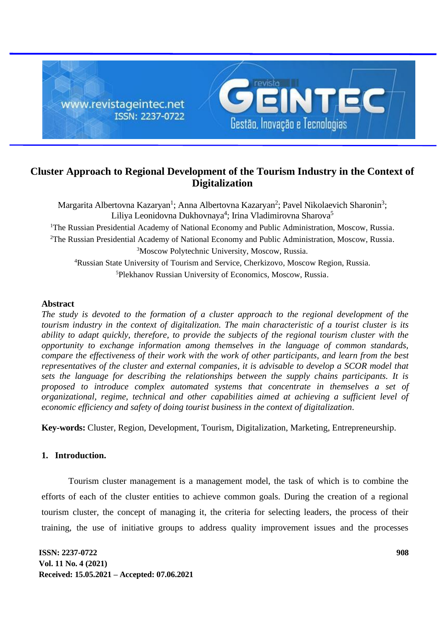

# **Cluster Approach to Regional Development of the Tourism Industry in the Context of Digitalization**

Margarita Albertovna Kazaryan<sup>1</sup>; Anna Albertovna Kazaryan<sup>2</sup>; Pavel Nikolaevich Sharonin<sup>3</sup>; Liliya Leonidovna Dukhovnaya<sup>4</sup>; Irina Vladimirovna Sharova<sup>5</sup> <sup>1</sup>The Russian Presidential Academy of National Economy and Public Administration, Moscow, Russia.  $2$ The Russian Presidential Academy of National Economy and Public Administration, Moscow, Russia. <sup>3</sup>Moscow Polytechnic University, Moscow, Russia. <sup>4</sup>Russian State University of Tourism and Service, Cherkizovo, Moscow Region, Russia. <sup>5</sup>Plekhanov Russian University of Economics, Moscow, Russia.

# **Abstract**

*The study is devoted to the formation of a cluster approach to the regional development of the tourism industry in the context of digitalization. The main characteristic of a tourist cluster is its ability to adapt quickly, therefore, to provide the subjects of the regional tourism cluster with the opportunity to exchange information among themselves in the language of common standards, compare the effectiveness of their work with the work of other participants, and learn from the best representatives of the cluster and external companies, it is advisable to develop a SCOR model that sets the language for describing the relationships between the supply chains participants. It is proposed to introduce complex automated systems that concentrate in themselves a set of organizational, regime, technical and other capabilities aimed at achieving a sufficient level of economic efficiency and safety of doing tourist business in the context of digitalization.*

**Key-words:** Cluster, Region, Development, Tourism, Digitalization, Marketing, Entrepreneurship.

# **1. Introduction.**

Tourism cluster management is a management model, the task of which is to combine the efforts of each of the cluster entities to achieve common goals. During the creation of a regional tourism cluster, the concept of managing it, the criteria for selecting leaders, the process of their training, the use of initiative groups to address quality improvement issues and the processes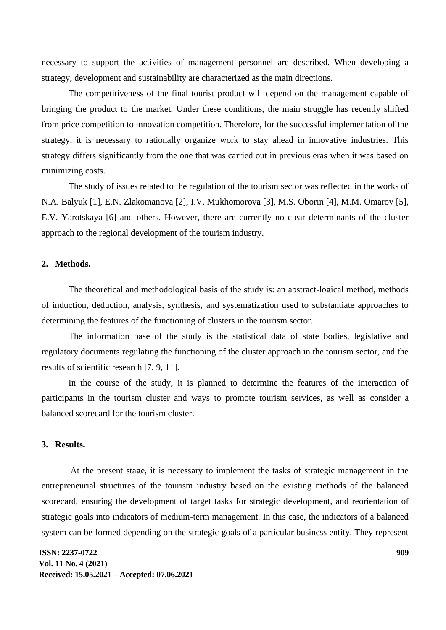necessary to support the activities of management personnel are described. When developing a strategy, development and sustainability are characterized as the main directions.

The competitiveness of the final tourist product will depend on the management capable of bringing the product to the market. Under these conditions, the main struggle has recently shifted from price competition to innovation competition. Therefore, for the successful implementation of the strategy, it is necessary to rationally organize work to stay ahead in innovative industries. This strategy differs significantly from the one that was carried out in previous eras when it was based on minimizing costs.

The study of issues related to the regulation of the tourism sector was reflected in the works of N.A. Balyuk [1], E.N. Zlakomanova [2], I.V. Mukhomorova [3], M.S. Oborin [4], M.M. Omarov [5], E.V. Yarotskaya [6] and others. However, there are currently no clear determinants of the cluster approach to the regional development of the tourism industry.

## **2. Methods.**

The theoretical and methodological basis of the study is: an abstract-logical method, methods of induction, deduction, analysis, synthesis, and systematization used to substantiate approaches to determining the features of the functioning of clusters in the tourism sector.

The information base of the study is the statistical data of state bodies, legislative and regulatory documents regulating the functioning of the cluster approach in the tourism sector, and the results of scientific research [7, 9, 11].

In the course of the study, it is planned to determine the features of the interaction of participants in the tourism cluster and ways to promote tourism services, as well as consider a balanced scorecard for the tourism cluster.

## **3. Results.**

At the present stage, it is necessary to implement the tasks of strategic management in the entrepreneurial structures of the tourism industry based on the existing methods of the balanced scorecard, ensuring the development of target tasks for strategic development, and reorientation of strategic goals into indicators of medium-term management. In this case, the indicators of a balanced system can be formed depending on the strategic goals of a particular business entity. They represent

**ISSN: 2237-0722 Vol. 11 No. 4 (2021) Received: 15.05.2021 – Accepted: 07.06.2021**  **909**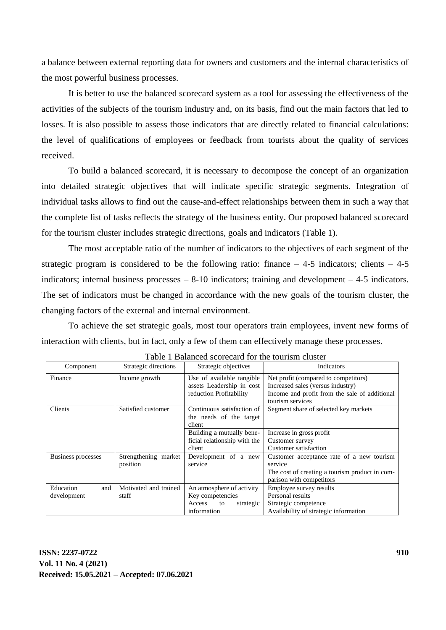a balance between external reporting data for owners and customers and the internal characteristics of the most powerful business processes.

It is better to use the balanced scorecard system as a tool for assessing the effectiveness of the activities of the subjects of the tourism industry and, on its basis, find out the main factors that led to losses. It is also possible to assess those indicators that are directly related to financial calculations: the level of qualifications of employees or feedback from tourists about the quality of services received.

To build a balanced scorecard, it is necessary to decompose the concept of an organization into detailed strategic objectives that will indicate specific strategic segments. Integration of individual tasks allows to find out the cause-and-effect relationships between them in such a way that the complete list of tasks reflects the strategy of the business entity. Our proposed balanced scorecard for the tourism cluster includes strategic directions, goals and indicators (Table 1).

The most acceptable ratio of the number of indicators to the objectives of each segment of the strategic program is considered to be the following ratio: finance  $-4-5$  indicators; clients  $-4-5$ indicators; internal business processes – 8-10 indicators; training and development – 4-5 indicators. The set of indicators must be changed in accordance with the new goals of the tourism cluster, the changing factors of the external and internal environment.

To achieve the set strategic goals, most tour operators train employees, invent new forms of interaction with clients, but in fact, only a few of them can effectively manage these processes.

| Component          | Strategic directions  | Strategic objectives                                            | Indicators                                                                |
|--------------------|-----------------------|-----------------------------------------------------------------|---------------------------------------------------------------------------|
| Finance            | Income growth         | Use of available tangible<br>assets Leadership in cost          | Net profit (compared to competitors)<br>Increased sales (versus industry) |
|                    |                       | reduction Profitability                                         | Income and profit from the sale of additional<br>tourism services         |
| Clients            | Satisfied customer    | Continuous satisfaction of<br>the needs of the target<br>client | Segment share of selected key markets                                     |
|                    |                       | Building a mutually bene-                                       | Increase in gross profit                                                  |
|                    |                       | ficial relationship with the                                    | Customer survey                                                           |
|                    |                       | client                                                          | Customer satisfaction                                                     |
| Business processes | Strengthening market  | Development of a new                                            | Customer acceptance rate of a new tourism                                 |
|                    | position              | service                                                         | service                                                                   |
|                    |                       |                                                                 | The cost of creating a tourism product in com-                            |
|                    |                       |                                                                 | parison with competitors                                                  |
| and<br>Education   | Motivated and trained | An atmosphere of activity                                       | Employee survey results                                                   |
| development        | staff                 | Key competencies                                                | Personal results                                                          |
|                    |                       | Access<br>to<br>strategic                                       | Strategic competence                                                      |
|                    |                       | information                                                     | Availability of strategic information                                     |

| Table 1 Balanced scorecard for the tourism cluster |  |
|----------------------------------------------------|--|
|----------------------------------------------------|--|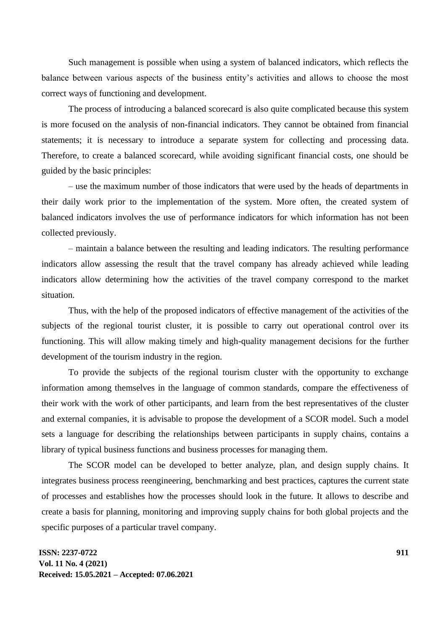Such management is possible when using a system of balanced indicators, which reflects the balance between various aspects of the business entity's activities and allows to choose the most correct ways of functioning and development.

The process of introducing a balanced scorecard is also quite complicated because this system is more focused on the analysis of non-financial indicators. They cannot be obtained from financial statements; it is necessary to introduce a separate system for collecting and processing data. Therefore, to create a balanced scorecard, while avoiding significant financial costs, one should be guided by the basic principles:

– use the maximum number of those indicators that were used by the heads of departments in their daily work prior to the implementation of the system. More often, the created system of balanced indicators involves the use of performance indicators for which information has not been collected previously.

– maintain a balance between the resulting and leading indicators. The resulting performance indicators allow assessing the result that the travel company has already achieved while leading indicators allow determining how the activities of the travel company correspond to the market situation.

Thus, with the help of the proposed indicators of effective management of the activities of the subjects of the regional tourist cluster, it is possible to carry out operational control over its functioning. This will allow making timely and high-quality management decisions for the further development of the tourism industry in the region.

To provide the subjects of the regional tourism cluster with the opportunity to exchange information among themselves in the language of common standards, compare the effectiveness of their work with the work of other participants, and learn from the best representatives of the cluster and external companies, it is advisable to propose the development of a SCOR model. Such a model sets a language for describing the relationships between participants in supply chains, contains a library of typical business functions and business processes for managing them.

The SCOR model can be developed to better analyze, plan, and design supply chains. It integrates business process reengineering, benchmarking and best practices, captures the current state of processes and establishes how the processes should look in the future. It allows to describe and create a basis for planning, monitoring and improving supply chains for both global projects and the specific purposes of a particular travel company.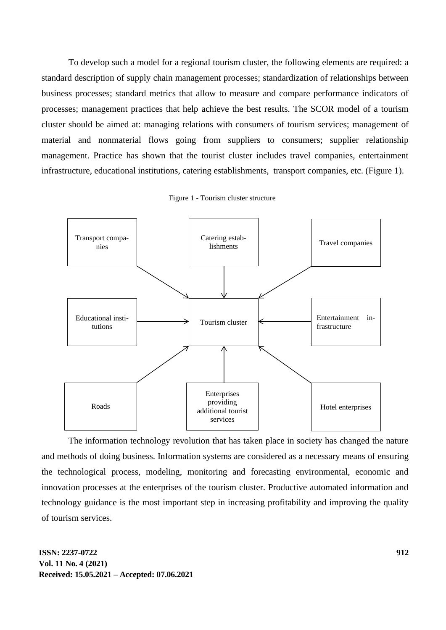To develop such a model for a regional tourism cluster, the following elements are required: a standard description of supply chain management processes; standardization of relationships between business processes; standard metrics that allow to measure and compare performance indicators of processes; management practices that help achieve the best results. The SCOR model of a tourism cluster should be aimed at: managing relations with consumers of tourism services; management of material and nonmaterial flows going from suppliers to consumers; supplier relationship management. Practice has shown that the tourist cluster includes travel companies, entertainment infrastructure, educational institutions, catering establishments, transport companies, etc. (Figure 1).



Figure 1 - Tourism cluster structure

The information technology revolution that has taken place in society has changed the nature and methods of doing business. Information systems are considered as a necessary means of ensuring the technological process, modeling, monitoring and forecasting environmental, economic and innovation processes at the enterprises of the tourism cluster. Productive automated information and technology guidance is the most important step in increasing profitability and improving the quality of tourism services.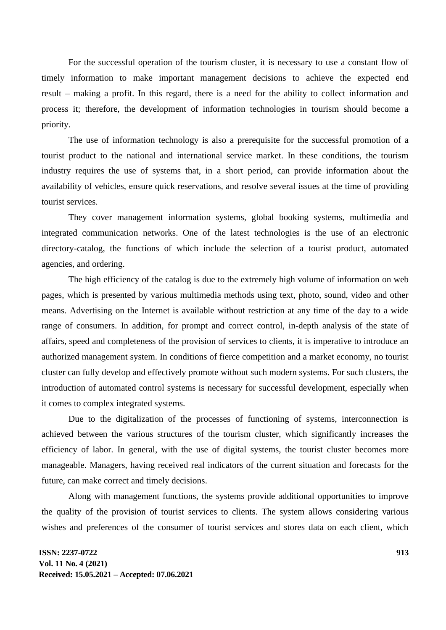For the successful operation of the tourism cluster, it is necessary to use a constant flow of timely information to make important management decisions to achieve the expected end result – making a profit. In this regard, there is a need for the ability to collect information and process it; therefore, the development of information technologies in tourism should become a priority.

The use of information technology is also a prerequisite for the successful promotion of a tourist product to the national and international service market. In these conditions, the tourism industry requires the use of systems that, in a short period, can provide information about the availability of vehicles, ensure quick reservations, and resolve several issues at the time of providing tourist services.

They cover management information systems, global booking systems, multimedia and integrated communication networks. One of the latest technologies is the use of an electronic directory-catalog, the functions of which include the selection of a tourist product, automated agencies, and ordering.

The high efficiency of the catalog is due to the extremely high volume of information on web pages, which is presented by various multimedia methods using text, photo, sound, video and other means. Advertising on the Internet is available without restriction at any time of the day to a wide range of consumers. In addition, for prompt and correct control, in-depth analysis of the state of affairs, speed and completeness of the provision of services to clients, it is imperative to introduce an authorized management system. In conditions of fierce competition and a market economy, no tourist cluster can fully develop and effectively promote without such modern systems. For such clusters, the introduction of automated control systems is necessary for successful development, especially when it comes to complex integrated systems.

Due to the digitalization of the processes of functioning of systems, interconnection is achieved between the various structures of the tourism cluster, which significantly increases the efficiency of labor. In general, with the use of digital systems, the tourist cluster becomes more manageable. Managers, having received real indicators of the current situation and forecasts for the future, can make correct and timely decisions.

Along with management functions, the systems provide additional opportunities to improve the quality of the provision of tourist services to clients. The system allows considering various wishes and preferences of the consumer of tourist services and stores data on each client, which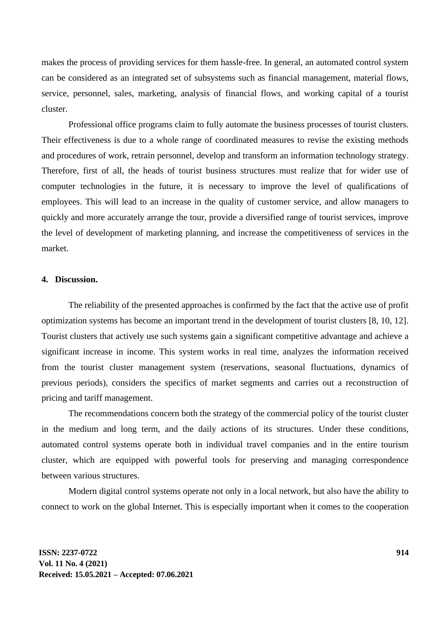makes the process of providing services for them hassle-free. In general, an automated control system can be considered as an integrated set of subsystems such as financial management, material flows, service, personnel, sales, marketing, analysis of financial flows, and working capital of a tourist cluster.

Professional office programs claim to fully automate the business processes of tourist clusters. Their effectiveness is due to a whole range of coordinated measures to revise the existing methods and procedures of work, retrain personnel, develop and transform an information technology strategy. Therefore, first of all, the heads of tourist business structures must realize that for wider use of computer technologies in the future, it is necessary to improve the level of qualifications of employees. This will lead to an increase in the quality of customer service, and allow managers to quickly and more accurately arrange the tour, provide a diversified range of tourist services, improve the level of development of marketing planning, and increase the competitiveness of services in the market.

#### **4. Discussion.**

The reliability of the presented approaches is confirmed by the fact that the active use of profit optimization systems has become an important trend in the development of tourist clusters [8, 10, 12]. Tourist clusters that actively use such systems gain a significant competitive advantage and achieve a significant increase in income. This system works in real time, analyzes the information received from the tourist cluster management system (reservations, seasonal fluctuations, dynamics of previous periods), considers the specifics of market segments and carries out a reconstruction of pricing and tariff management.

The recommendations concern both the strategy of the commercial policy of the tourist cluster in the medium and long term, and the daily actions of its structures. Under these conditions, automated control systems operate both in individual travel companies and in the entire tourism cluster, which are equipped with powerful tools for preserving and managing correspondence between various structures.

Modern digital control systems operate not only in a local network, but also have the ability to connect to work on the global Internet. This is especially important when it comes to the cooperation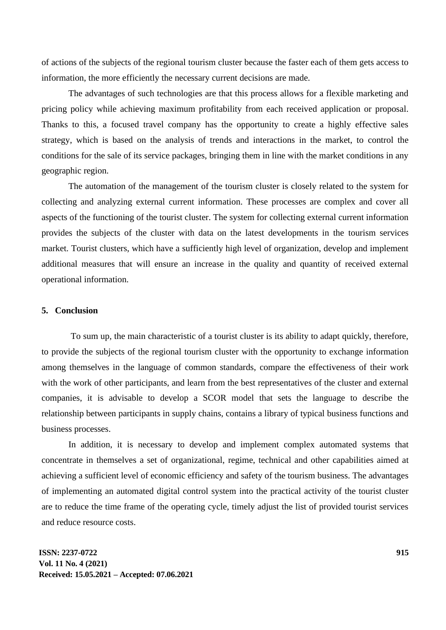of actions of the subjects of the regional tourism cluster because the faster each of them gets access to information, the more efficiently the necessary current decisions are made.

The advantages of such technologies are that this process allows for a flexible marketing and pricing policy while achieving maximum profitability from each received application or proposal. Thanks to this, a focused travel company has the opportunity to create a highly effective sales strategy, which is based on the analysis of trends and interactions in the market, to control the conditions for the sale of its service packages, bringing them in line with the market conditions in any geographic region.

The automation of the management of the tourism cluster is closely related to the system for collecting and analyzing external current information. These processes are complex and cover all aspects of the functioning of the tourist cluster. The system for collecting external current information provides the subjects of the cluster with data on the latest developments in the tourism services market. Tourist clusters, which have a sufficiently high level of organization, develop and implement additional measures that will ensure an increase in the quality and quantity of received external operational information.

#### **5. Conclusion**

To sum up, the main characteristic of a tourist cluster is its ability to adapt quickly, therefore, to provide the subjects of the regional tourism cluster with the opportunity to exchange information among themselves in the language of common standards, compare the effectiveness of their work with the work of other participants, and learn from the best representatives of the cluster and external companies, it is advisable to develop a SCOR model that sets the language to describe the relationship between participants in supply chains, contains a library of typical business functions and business processes.

In addition, it is necessary to develop and implement complex automated systems that concentrate in themselves a set of organizational, regime, technical and other capabilities aimed at achieving a sufficient level of economic efficiency and safety of the tourism business. The advantages of implementing an automated digital control system into the practical activity of the tourist cluster are to reduce the time frame of the operating cycle, timely adjust the list of provided tourist services and reduce resource costs.